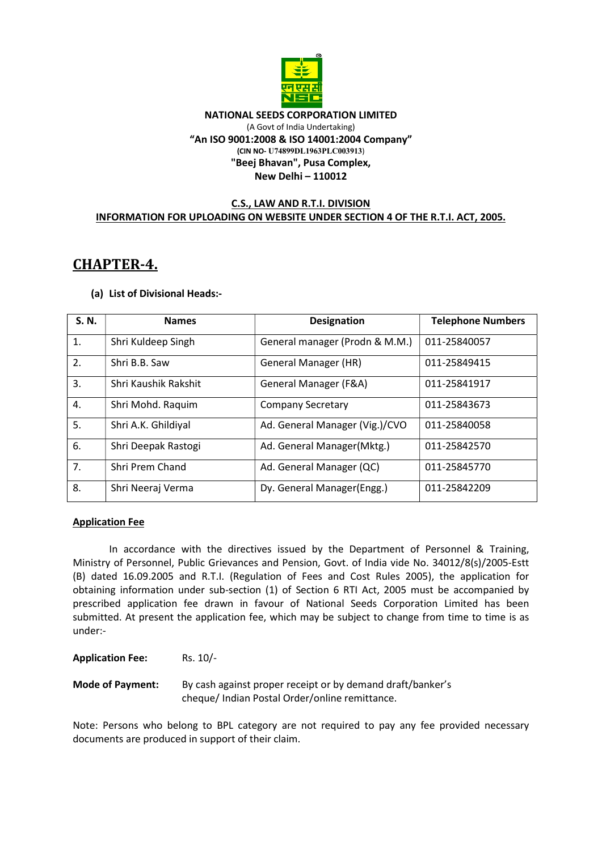

#### NATIONAL SEEDS CORPORATION LIMITED (A Govt of India Undertaking) "An ISO 9001:2008 & ISO 14001:2004 Company" (CIN NO- U74899DL1963PLC003913) "Beej Bhavan", Pusa Complex, New Delhi – 110012

# C.S., LAW AND R.T.I. DIVISION INFORMATION FOR UPLOADING ON WEBSITE UNDER SECTION 4 OF THE R.T.I. ACT, 2005.

# CHAPTER-4.

# (a) List of Divisional Heads:-

| S. N. | <b>Names</b>         | <b>Designation</b>             | <b>Telephone Numbers</b> |
|-------|----------------------|--------------------------------|--------------------------|
| 1.    | Shri Kuldeep Singh   | General manager (Prodn & M.M.) | 011-25840057             |
| 2.    | Shri B.B. Saw        | General Manager (HR)           | 011-25849415             |
| 3.    | Shri Kaushik Rakshit | General Manager (F&A)          | 011-25841917             |
| 4.    | Shri Mohd. Raquim    | <b>Company Secretary</b>       | 011-25843673             |
| 5.    | Shri A.K. Ghildiyal  | Ad. General Manager (Vig.)/CVO | 011-25840058             |
| 6.    | Shri Deepak Rastogi  | Ad. General Manager(Mktg.)     | 011-25842570             |
| 7.    | Shri Prem Chand      | Ad. General Manager (QC)       | 011-25845770             |
| 8.    | Shri Neeraj Verma    | Dy. General Manager(Engg.)     | 011-25842209             |

## Application Fee

 In accordance with the directives issued by the Department of Personnel & Training, Ministry of Personnel, Public Grievances and Pension, Govt. of India vide No. 34012/8(s)/2005-Estt (B) dated 16.09.2005 and R.T.I. (Regulation of Fees and Cost Rules 2005), the application for obtaining information under sub-section (1) of Section 6 RTI Act, 2005 must be accompanied by prescribed application fee drawn in favour of National Seeds Corporation Limited has been submitted. At present the application fee, which may be subject to change from time to time is as under:-

Application Fee: Rs. 10/-

Mode of Payment: By cash against proper receipt or by demand draft/banker's cheque/ Indian Postal Order/online remittance.

Note: Persons who belong to BPL category are not required to pay any fee provided necessary documents are produced in support of their claim.